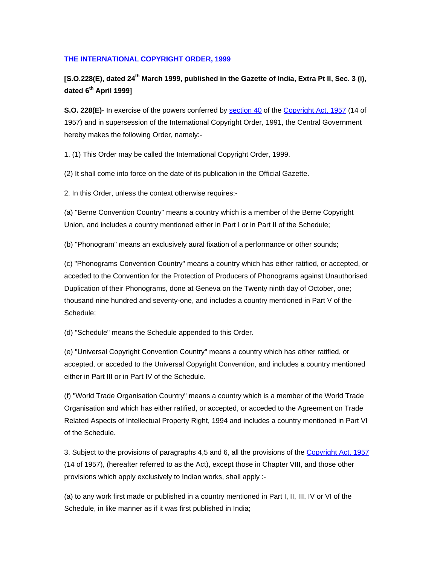#### **THE INTERNATIONAL COPYRIGHT ORDER, 1999**

**[S.O.228(E), dated 24th March 1999, published in the Gazette of India, Extra Pt II, Sec. 3 (i), dated 6th April 1999]**

**S.O. 228(E)**- In exercise of the powers conferred by [section 40](http://www.indiaip.com/india/copyrights/acts/act1957/chap9.htm#40) of the [Copyright Act, 1957](http://www.indiaip.com/india/copyrights/acts/act1957/act1957.htm) (14 of 1957) and in supersession of the International Copyright Order, 1991, the Central Government hereby makes the following Order, namely:-

1. (1) This Order may be called the International Copyright Order, 1999.

(2) It shall come into force on the date of its publication in the Official Gazette.

2. In this Order, unless the context otherwise requires:-

(a) "Berne Convention Country" means a country which is a member of the Berne Copyright Union, and includes a country mentioned either in Part I or in Part II of the Schedule;

(b) "Phonogram" means an exclusively aural fixation of a performance or other sounds;

(c) "Phonograms Convention Country" means a country which has either ratified, or accepted, or acceded to the Convention for the Protection of Producers of Phonograms against Unauthorised Duplication of their Phonograms, done at Geneva on the Twenty ninth day of October, one; thousand nine hundred and seventy-one, and includes a country mentioned in Part V of the Schedule;

(d) "Schedule" means the Schedule appended to this Order.

(e) "Universal Copyright Convention Country" means a country which has either ratified, or accepted, or acceded to the Universal Copyright Convention, and includes a country mentioned either in Part III or in Part IV of the Schedule.

(f) "World Trade Organisation Country" means a country which is a member of the World Trade Organisation and which has either ratified, or accepted, or acceded to the Agreement on Trade Related Aspects of Intellectual Property Right, 1994 and includes a country mentioned in Part VI of the Schedule.

3. Subject to the provisions of paragraphs 4,5 and 6, all the provisions of the [Copyright Act, 1957](http://www.indiaip.com/india/copyrights/acts/act1957/act1957.htm) (14 of 1957), (hereafter referred to as the Act), except those in Chapter VIII, and those other provisions which apply exclusively to Indian works, shall apply :-

(a) to any work first made or published in a country mentioned in Part I, II, III, IV or VI of the Schedule, in like manner as if it was first published in India;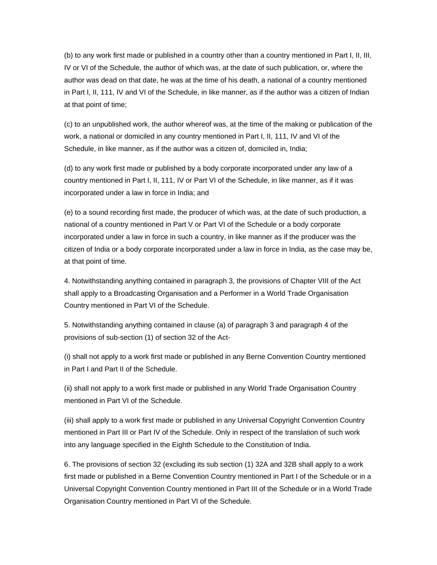(b) to any work first made or published in a country other than a country mentioned in Part I, II, III, IV or VI of the Schedule, the author of which was, at the date of such publication, or, where the author was dead on that date, he was at the time of his death, a national of a country mentioned in Part I, II, 111, IV and VI of the Schedule, in like manner, as if the author was a citizen of Indian at that point of time;

(c) to an unpublished work, the author whereof was, at the time of the making or publication of the work, a national or domiciled in any country mentioned in Part I, II, 111, IV and VI of the Schedule, in like manner, as if the author was a citizen of, domiciled in, India;

(d) to any work first made or published by a body corporate incorporated under any law of a country mentioned in Part I, II, 111, IV or Part VI of the Schedule, in like manner, as if it was incorporated under a law in force in India; and

(e) to a sound recording first made, the producer of which was, at the date of such production, a national of a country mentioned in Part V or Part VI of the Schedule or a body corporate incorporated under a law in force in such a country, in like manner as if the producer was the citizen of India or a body corporate incorporated under a law in force in India, as the case may be, at that point of time.

4. Notwithstanding anything contained in paragraph 3, the provisions of Chapter VIII of the Act shall apply to a Broadcasting Organisation and a Performer in a World Trade Organisation Country mentioned in Part VI of the Schedule.

5. Notwithstanding anything contained in clause (a) of paragraph 3 and paragraph 4 of the provisions of sub-section (1) of section 32 of the Act-

(i) shall not apply to a work first made or published in any Berne Convention Country mentioned in Part I and Part II of the Schedule.

(ii) shall not apply to a work first made or published in any World Trade Organisation Country mentioned in Part VI of the Schedule.

(iii) shall apply to a work first made or published in any Universal Copyright Convention Country mentioned in Part III or Part IV of the Schedule. Only in respect of the translation of such work into any language specified in the Eighth Schedule to the Constitution of India.

6. The provisions of section 32 (excluding its sub section (1) 32A and 32B shall apply to a work first made or published in a Berne Convention Country mentioned in Part I of the Schedule or in a Universal Copyright Convention Country mentioned in Part III of the Schedule or in a World Trade Organisation Country mentioned in Part VI of the Schedule.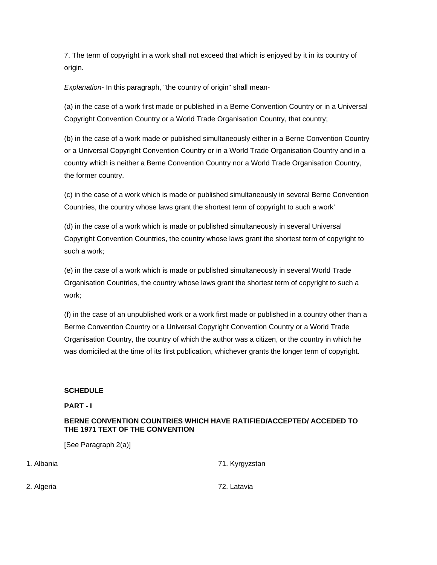7. The term of copyright in a work shall not exceed that which is enjoyed by it in its country of origin.

*Explanation-* In this paragraph, "the country of origin" shall mean-

(a) in the case of a work first made or published in a Berne Convention Country or in a Universal Copyright Convention Country or a World Trade Organisation Country, that country;

(b) in the case of a work made or published simultaneously either in a Berne Convention Country or a Universal Copyright Convention Country or in a World Trade Organisation Country and in a country which is neither a Berne Convention Country nor a World Trade Organisation Country, the former country.

(c) in the case of a work which is made or published simultaneously in several Berne Convention Countries, the country whose laws grant the shortest term of copyright to such a work'

(d) in the case of a work which is made or published simultaneously in several Universal Copyright Convention Countries, the country whose laws grant the shortest term of copyright to such a work;

(e) in the case of a work which is made or published simultaneously in several World Trade Organisation Countries, the country whose laws grant the shortest term of copyright to such a work;

(f) in the case of an unpublished work or a work first made or published in a country other than a Berme Convention Country or a Universal Copyright Convention Country or a World Trade Organisation Country, the country of which the author was a citizen, or the country in which he was domiciled at the time of its first publication, whichever grants the longer term of copyright.

## **SCHEDULE**

## **PART - I**

## **BERNE CONVENTION COUNTRIES WHICH HAVE RATIFIED/ACCEPTED/ ACCEDED TO THE 1971 TEXT OF THE CONVENTION**

[See Paragraph 2(a)]

| 1. Albania | 71. Kyrgyzstan |
|------------|----------------|
| 2. Algeria | 72. Latavia    |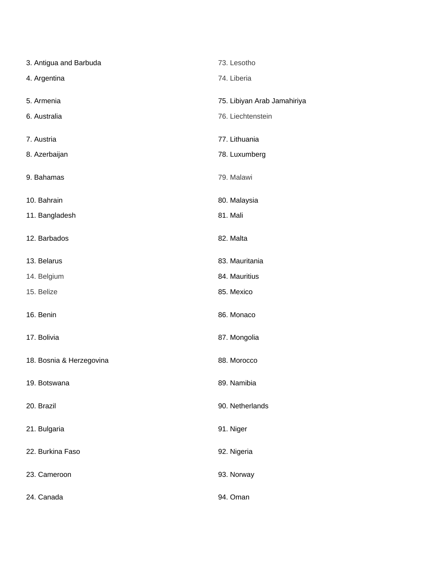| 3. Antigua and Barbuda   | 73. Lesotho                 |
|--------------------------|-----------------------------|
| 4. Argentina             | 74. Liberia                 |
| 5. Armenia               | 75. Libiyan Arab Jamahiriya |
| 6. Australia             | 76. Liechtenstein           |
| 7. Austria               | 77. Lithuania               |
| 8. Azerbaijan            | 78. Luxumberg               |
| 9. Bahamas               | 79. Malawi                  |
| 10. Bahrain              | 80. Malaysia                |
| 11. Bangladesh           | 81. Mali                    |
| 12. Barbados             | 82. Malta                   |
| 13. Belarus              | 83. Mauritania              |
| 14. Belgium              | 84. Mauritius               |
| 15. Belize               | 85. Mexico                  |
| 16. Benin                | 86. Monaco                  |
| 17. Bolivia              | 87. Mongolia                |
| 18. Bosnia & Herzegovina | 88. Morocco                 |
| 19. Botswana             | 89. Namibia                 |
| 20. Brazil               | 90. Netherlands             |
| 21. Bulgaria             | 91. Niger                   |
| 22. Burkina Faso         | 92. Nigeria                 |
| 23. Cameroon             | 93. Norway                  |
| 24. Canada               | 94. Oman                    |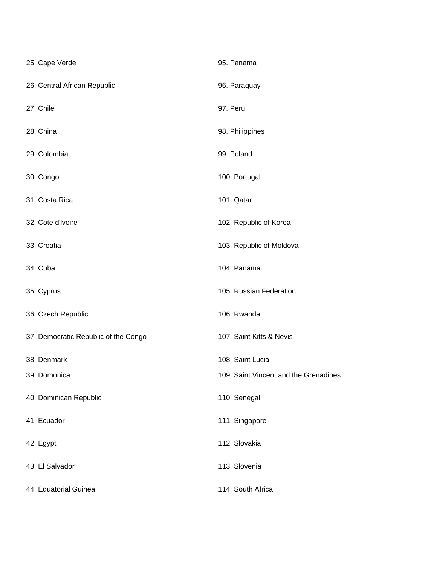| 25. Cape Verde                       | 95. Panama                            |
|--------------------------------------|---------------------------------------|
| 26. Central African Republic         | 96. Paraguay                          |
| 27. Chile                            | 97. Peru                              |
| 28. China                            | 98. Philippines                       |
| 29. Colombia                         | 99. Poland                            |
| 30. Congo                            | 100. Portugal                         |
| 31. Costa Rica                       | 101. Qatar                            |
| 32. Cote d'Ivoire                    | 102. Republic of Korea                |
| 33. Croatia                          | 103. Republic of Moldova              |
| 34. Cuba                             | 104. Panama                           |
| 35. Cyprus                           | 105. Russian Federation               |
| 36. Czech Republic                   | 106. Rwanda                           |
| 37. Democratic Republic of the Congo | 107. Saint Kitts & Nevis              |
| 38. Denmark                          | 108. Saint Lucia                      |
| 39. Domonica                         | 109. Saint Vincent and the Grenadines |
| 40. Dominican Republic               | 110. Senegal                          |
| 41. Ecuador                          | 111. Singapore                        |
| 42. Egypt                            | 112. Slovakia                         |
| 43. El Salvador                      | 113. Slovenia                         |
| 44. Equatorial Guinea                | 114. South Africa                     |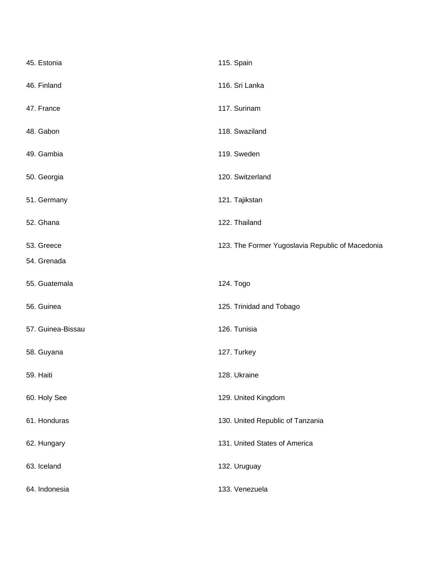| 45. Estonia       | 115. Spain                                       |
|-------------------|--------------------------------------------------|
| 46. Finland       | 116. Sri Lanka                                   |
| 47. France        | 117. Surinam                                     |
| 48. Gabon         | 118. Swaziland                                   |
| 49. Gambia        | 119. Sweden                                      |
| 50. Georgia       | 120. Switzerland                                 |
| 51. Germany       | 121. Tajikstan                                   |
| 52. Ghana         | 122. Thailand                                    |
| 53. Greece        | 123. The Former Yugoslavia Republic of Macedonia |
| 54. Grenada       |                                                  |
| 55. Guatemala     | 124. Togo                                        |
| 56. Guinea        | 125. Trinidad and Tobago                         |
| 57. Guinea-Bissau | 126. Tunisia                                     |
| 58. Guyana        | 127. Turkey                                      |
| 59. Haiti         | 128. Ukraine                                     |
| 60. Holy See      | 129. United Kingdom                              |
| 61. Honduras      | 130. United Republic of Tanzania                 |
| 62. Hungary       | 131. United States of America                    |
| 63. Iceland       | 132. Uruguay                                     |
| 64. Indonesia     | 133. Venezuela                                   |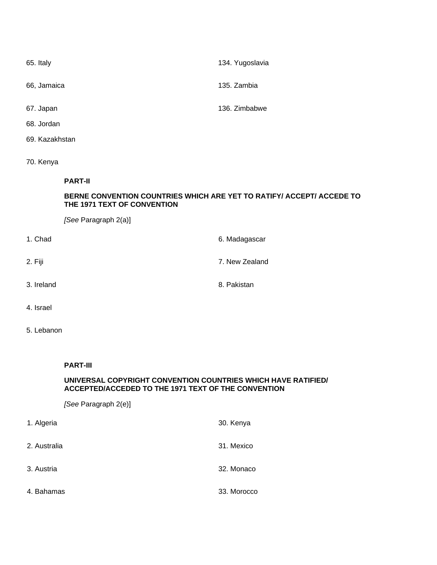| 65. Italy   | 134. Yugoslavia |
|-------------|-----------------|
| 66, Jamaica | 135. Zambia     |
| 67. Japan   | 136. Zimbabwe   |

- 68. Jordan
- 69. Kazakhstan
- 70. Kenya

## **PART-II**

## **BERNE CONVENTION COUNTRIES WHICH ARE YET TO RATIFY/ ACCEPT/ ACCEDE TO THE 1971 TEXT OF CONVENTION**

*[See* Paragraph 2(a)]

| 1. Chad    | 6. Madagascar  |
|------------|----------------|
| 2. Fiji    | 7. New Zealand |
| 3. Ireland | 8. Pakistan    |
|            |                |

- 4. Israel
- 5. Lebanon

#### **PART-III**

#### **UNIVERSAL COPYRIGHT CONVENTION COUNTRIES WHICH HAVE RATIFIED/ ACCEPTED/ACCEDED TO THE 1971 TEXT OF THE CONVENTION**

*[See* Paragraph 2(e)]

| 1. Algeria   | 30. Kenya   |
|--------------|-------------|
| 2. Australia | 31. Mexico  |
| 3. Austria   | 32. Monaco  |
| 4. Bahamas   | 33. Morocco |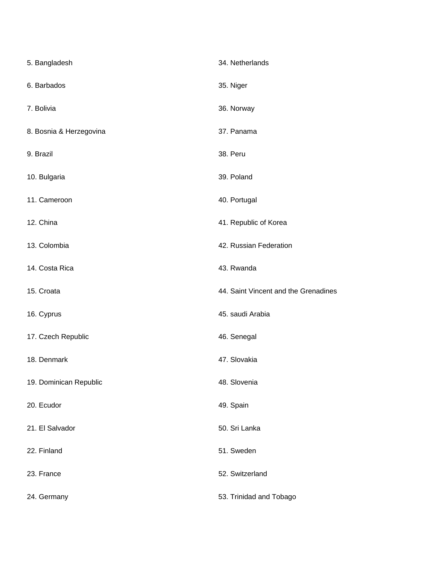| 5. Bangladesh           | 34. Netherlands                      |
|-------------------------|--------------------------------------|
| 6. Barbados             | 35. Niger                            |
| 7. Bolivia              | 36. Norway                           |
| 8. Bosnia & Herzegovina | 37. Panama                           |
| 9. Brazil               | 38. Peru                             |
| 10. Bulgaria            | 39. Poland                           |
| 11. Cameroon            | 40. Portugal                         |
| 12. China               | 41. Republic of Korea                |
| 13. Colombia            | 42. Russian Federation               |
| 14. Costa Rica          | 43. Rwanda                           |
| 15. Croata              | 44. Saint Vincent and the Grenadines |
| 16. Cyprus              | 45. saudi Arabia                     |
| 17. Czech Republic      | 46. Senegal                          |
| 18. Denmark             | 47. Slovakia                         |
| 19. Dominican Republic  | 48. Slovenia                         |
| 20. Ecudor              |                                      |
|                         | 49. Spain                            |
| 21. El Salvador         | 50. Sri Lanka                        |
| 22. Finland             | 51. Sweden                           |
| 23. France              | 52. Switzerland                      |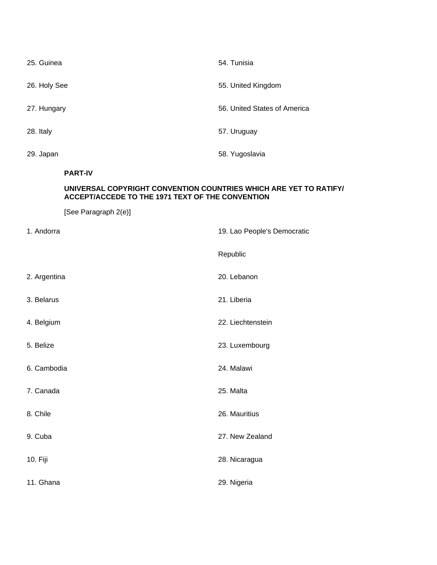| 25. Guinea   | 54. Tunisia                  |
|--------------|------------------------------|
| 26. Holy See | 55. United Kingdom           |
| 27. Hungary  | 56. United States of America |
| 28. Italy    | 57. Uruguay                  |
| 29. Japan    | 58. Yugoslavia               |

## **PART-IV**

## **UNIVERSAL COPYRIGHT CONVENTION COUNTRIES WHICH ARE YET TO RATIFY/ ACCEPT/ACCEDE TO THE 1971 TEXT OF THE CONVENTION**

[See Paragraph 2(e)]

| 1. Andorra   | 19. Lao People's Democratic |
|--------------|-----------------------------|
|              | Republic                    |
| 2. Argentina | 20. Lebanon                 |
| 3. Belarus   | 21. Liberia                 |
| 4. Belgium   | 22. Liechtenstein           |
| 5. Belize    | 23. Luxembourg              |
| 6. Cambodia  | 24. Malawi                  |
| 7. Canada    | 25. Malta                   |
| 8. Chile     | 26. Mauritius               |
| 9. Cuba      | 27. New Zealand             |
| 10. Fiji     | 28. Nicaragua               |
| 11. Ghana    | 29. Nigeria                 |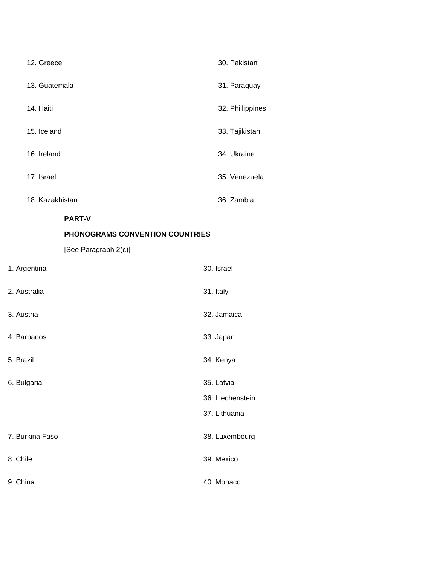| 12. Greece                      | 30. Pakistan     |
|---------------------------------|------------------|
| 13. Guatemala                   | 31. Paraguay     |
| 14. Haiti                       | 32. Phillippines |
| 15. Iceland                     | 33. Tajikistan   |
| 16. Ireland                     | 34. Ukraine      |
| 17. Israel                      | 35. Venezuela    |
| 18. Kazakhistan                 | 36. Zambia       |
| <b>PART-V</b>                   |                  |
| PHONOGRAMS CONVENTION COUNTRIES |                  |
| [See Paragraph 2(c)]            |                  |
| 1. Argentina                    | 30. Israel       |
| 2. Australia                    | 31. Italy        |
| 3. Austria                      | 32. Jamaica      |
| 4. Barbados                     | 33. Japan        |
| 5. Brazil                       | 34. Kenya        |
| 6. Bulgaria                     | 35. Latvia       |
|                                 | 36. Liechenstein |
|                                 |                  |
|                                 | 37. Lithuania    |

| 7. Burkina Faso | 38. Luxembourg |
|-----------------|----------------|
|                 |                |

8. Chile 39. Mexico

9. China 40. Monaco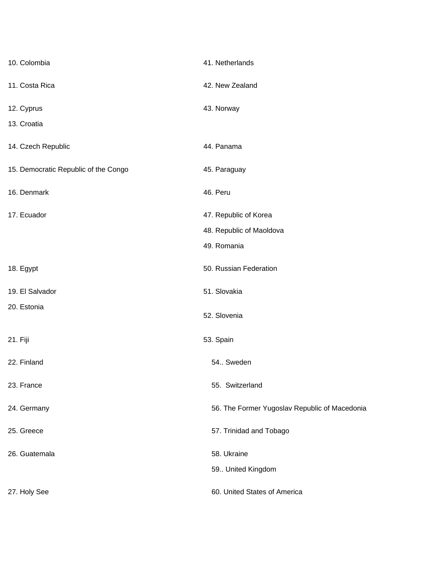| 10. Colombia                         | 41. Netherlands                               |
|--------------------------------------|-----------------------------------------------|
| 11. Costa Rica                       | 42. New Zealand                               |
| 12. Cyprus                           | 43. Norway                                    |
| 13. Croatia                          |                                               |
| 14. Czech Republic                   | 44. Panama                                    |
| 15. Democratic Republic of the Congo | 45. Paraguay                                  |
| 16. Denmark                          | 46. Peru                                      |
| 17. Ecuador                          | 47. Republic of Korea                         |
|                                      | 48. Republic of Maoldova                      |
|                                      | 49. Romania                                   |
| 18. Egypt                            | 50. Russian Federation                        |
| 19. El Salvador                      | 51. Slovakia                                  |
| 20. Estonia                          | 52. Slovenia                                  |
| 21. Fiji                             | 53. Spain                                     |
| 22. Finland                          | 54. Sweden                                    |
| 23. France                           | 55. Switzerland                               |
| 24. Germany                          | 56. The Former Yugoslav Republic of Macedonia |
| 25. Greece                           | 57. Trinidad and Tobago                       |
| 26. Guatemala                        | 58. Ukraine                                   |
|                                      | 59 United Kingdom                             |
| 27. Holy See                         | 60. United States of America                  |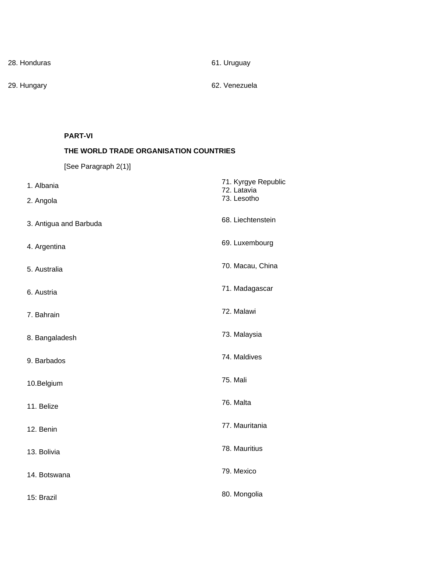28. Honduras 61. Uruguay

29. Hungary 62. Venezuela

## **PART-VI**

# **THE WORLD TRADE ORGANISATION COUNTRIES**

[See Paragraph 2(1)]

| 1. Albania             | 71. Kyrgye Republic<br>72. Latavia |
|------------------------|------------------------------------|
| 2. Angola              | 73. Lesotho                        |
| 3. Antigua and Barbuda | 68. Liechtenstein                  |
| 4. Argentina           | 69. Luxembourg                     |
| 5. Australia           | 70. Macau, China                   |
| 6. Austria             | 71. Madagascar                     |
| 7. Bahrain             | 72. Malawi                         |
| 8. Bangaladesh         | 73. Malaysia                       |
| 9. Barbados            | 74. Maldives                       |
| 10.Belgium             | <b>75. Mali</b>                    |
| 11. Belize             | 76. Malta                          |
| 12. Benin              | 77. Mauritania                     |
| 13. Bolivia            | 78. Mauritius                      |
| 14. Botswana           | 79. Mexico                         |
| 15: Brazil             | 80. Mongolia                       |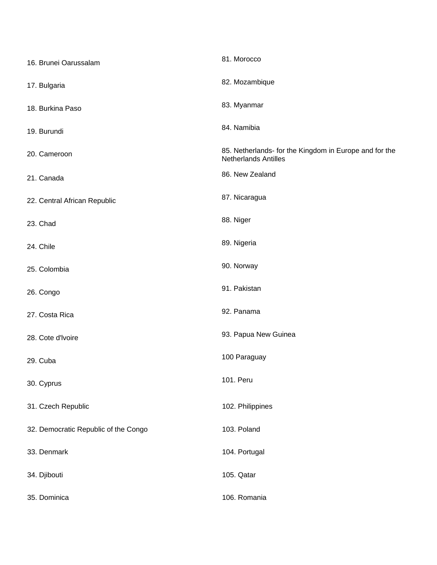| 16. Brunei Oarussalam                | 81. Morocco                                                                           |
|--------------------------------------|---------------------------------------------------------------------------------------|
| 17. Bulgaria                         | 82. Mozambique                                                                        |
| 18. Burkina Paso                     | 83. Myanmar                                                                           |
| 19. Burundi                          | 84. Namibia                                                                           |
| 20. Cameroon                         | 85. Netherlands- for the Kingdom in Europe and for the<br><b>Netherlands Antilles</b> |
| 21. Canada                           | 86. New Zealand                                                                       |
| 22. Central African Republic         | 87. Nicaragua                                                                         |
| 23. Chad                             | 88. Niger                                                                             |
| 24. Chile                            | 89. Nigeria                                                                           |
| 25. Colombia                         | 90. Norway                                                                            |
| 26. Congo                            | 91. Pakistan                                                                          |
| 27. Costa Rica                       | 92. Panama                                                                            |
| 28. Cote d'Ivoire                    | 93. Papua New Guinea                                                                  |
| 29. Cuba                             | 100 Paraguay                                                                          |
| 30. Cyprus                           | 101. Peru                                                                             |
| 31. Czech Republic                   | 102. Philippines                                                                      |
| 32. Democratic Republic of the Congo | 103. Poland                                                                           |
| 33. Denmark                          | 104. Portugal                                                                         |
| 34. Djibouti                         | 105. Qatar                                                                            |
| 35. Dominica                         | 106. Romania                                                                          |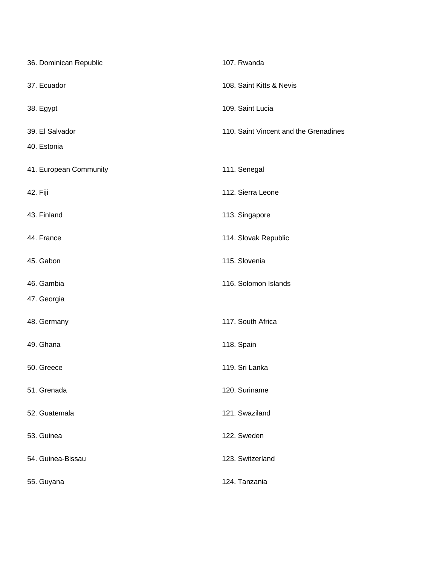| 36. Dominican Republic | 107. Rwanda                           |
|------------------------|---------------------------------------|
| 37. Ecuador            | 108. Saint Kitts & Nevis              |
| 38. Egypt              | 109. Saint Lucia                      |
| 39. El Salvador        | 110. Saint Vincent and the Grenadines |
| 40. Estonia            |                                       |
| 41. European Community | 111. Senegal                          |
| 42. Fiji               | 112. Sierra Leone                     |
| 43. Finland            | 113. Singapore                        |
| 44. France             | 114. Slovak Republic                  |
| 45. Gabon              | 115. Slovenia                         |
| 46. Gambia             | 116. Solomon Islands                  |
| 47. Georgia            |                                       |
| 48. Germany            | 117. South Africa                     |
| 49. Ghana              | 118. Spain                            |
| 50. Greece             | 119. Sri Lanka                        |
| 51. Grenada            | 120. Suriname                         |
| 52. Guatemala          | 121. Swaziland                        |
| 53. Guinea             | 122. Sweden                           |
| 54. Guinea-Bissau      | 123. Switzerland                      |
| 55. Guyana             | 124. Tanzania                         |